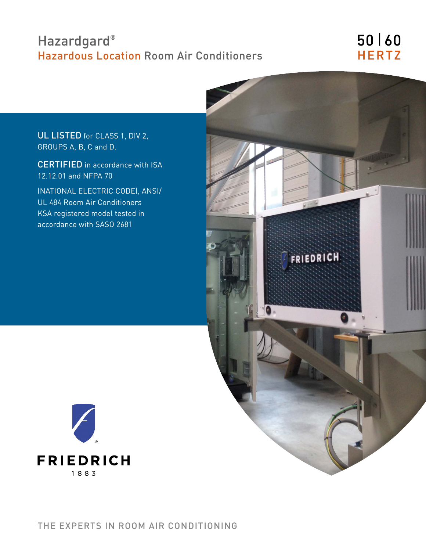# Hazardgard<sup>®</sup> Hazardous Location Room Air Conditioners

# 50 | 60 **HERTZ**

UL LISTED for CLASS 1, DIV 2, GROUPS A, B, C and D.

CERTIFIED in accordance with ISA 12.12.01 and NFPA 70

(NATIONAL ELECTRIC CODE), ANSI/ UL 484 Room Air Conditioners KSA registered model tested in accordance with SASO 2681



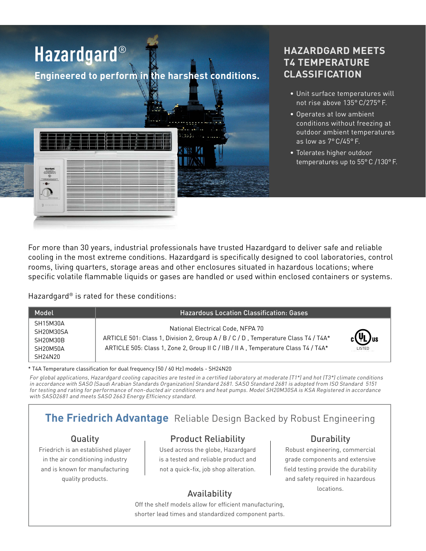

## **HAZARDGARD MEETS T4 TEMPERATURE CLASSIFICATION**

- Unit surface temperatures will not rise above 135° C/275° F.
- Operates at low ambient conditions without freezing at outdoor ambient temperatures as low as 7° C/45° F.
- Tolerates higher outdoor temperatures up to 55° C /130° F.

For more than 30 years, industrial professionals have trusted Hazardgard to deliver safe and reliable cooling in the most extreme conditions. Hazardgard is specifically designed to cool laboratories, control rooms, living quarters, storage areas and other enclosures situated in hazardous locations; where specific volatile flammable liquids or gases are handled or used within enclosed containers or systems.

Hazardgard® is rated for these conditions:

| Model                                                                             | <b>Hazardous Location Classification: Gases</b>                                                                                                                                                               |                                                         |
|-----------------------------------------------------------------------------------|---------------------------------------------------------------------------------------------------------------------------------------------------------------------------------------------------------------|---------------------------------------------------------|
| SH15M30A<br>SH20M30SA<br>SH20M30B<br>SH20M50A<br>SH <sub>24</sub> N <sub>20</sub> | National Electrical Code, NFPA 70<br>ARTICLE 501: Class 1, Division 2, Group A / B / C / D, Temperature Class T4 / T4A*<br>ARTICLE 505: Class 1, Zone 2, Group II C / IIB / II A, Temperature Class T4 / T4A* | $_{c}$ (V <sub>L</sub> ) <sub>us</sub><br><b>LISTED</b> |

\* T4A Temperature classification for dual frequency (50 / 60 Hz) models - SH24N20

For global applications, Hazardgard cooling capacities are tested in a certified laboratory at moderate (T1\*) and hot (T3\*) climate conditions in accordance with SASO (Saudi Arabian Standards Organization) Standard 2681. SASO Standard 2681 is adopted from ISO Standard 5151 for testing and rating for performance of non-ducted air conditioners and heat pumps. Model SH20M30SA is KSA Registered in accordance with SASO2681 and meets SASO 2663 Energy Efficiency standard.

# **The Friedrich Advantage** Reliable Design Backed by Robust Engineering

### Quality

Friedrich is an established player in the air conditioning industry and is known for manufacturing quality products.

## Product Reliability

Used across the globe, Hazardgard is a tested and reliable product and not a quick-fix, job shop alteration.

### Durability

Robust engineering, commercial grade components and extensive field testing provide the durability and safety required in hazardous Availability **Exercise Security** Locations.

Off the shelf models allow for efficient manufacturing, shorter lead times and standardized component parts.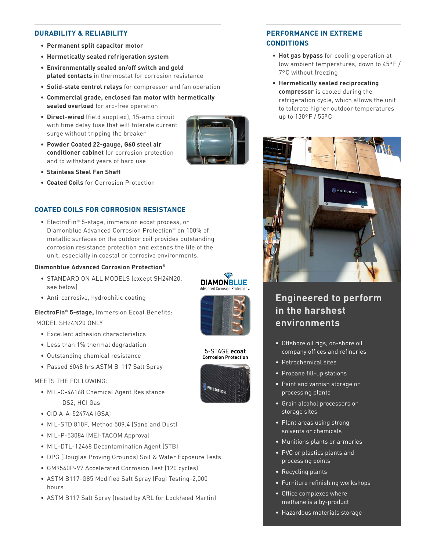#### **DURABILITY & RELIABILITY**

- **• Permanent split capacitor motor**
- **• Hermetically sealed refrigeration system**
- **• Environmentally sealed on/off switch and gold plated contacts** in thermostat for corrosion resistance
- **• Solid-state control relays** for compressor and fan operation
- **• Commercial grade, enclosed fan motor with hermetically sealed overload** for arc-free operation
- **• Direct-wired** (field supplied), 15-amp circuit with time delay fuse that will tolerate current surge without tripping the breaker
- **• Powder Coated 22-gauge, G60 steel air conditioner cabinet** for corrosion protection and to withstand years of hard use
- **• Stainless Steel Fan Shaft**
- **• Coated Coils** for Corrosion Protection

#### **COATED COILS FOR CORROSION RESISTANCE**

• ElectroFin® 5-stage, immersion ecoat process, or Diamonblue Advanced Corrosion Protection® on 100% of metallic surfaces on the outdoor coil provides outstanding corrosion resistance protection and extends the life of the unit, especially in coastal or corrosive environments.

#### **Diamonblue Advanced Corrosion Protection®**

- STANDARD ON ALL MODELS (except SH24N20, see below)
- Anti-corrosive, hydrophilic coating

### **ElectroFin® 5-stage,** Immersion Ecoat Benefits: MODEL SH24N20 ONLY

- Excellent adhesion characteristics
- Less than 1% thermal degradation
- Outstanding chemical resistance
- Passed 6048 hrs.ASTM B-117 Salt Spray

#### MEETS THE FOLLOWING:

- MIL-C-46168 Chemical Agent Resistance -DS2, HCI Gas
- CID A-A-52474A (GSA)
- MIL-STD 810F, Method 509.4 (Sand and Dust)
- MIL-P-53084 (ME)-TACOM Approval
- MIL-DTL-12468 Decontamination Agent (STB)
- DPG (Douglas Proving Grounds) Soil & Water Exposure Tests
- GM9540P-97 Accelerated Corrosion Test (120 cycles)
- ASTM B117-G85 Modified Salt Spray (Fog) Testing-2,000 hours
- ASTM B117 Salt Spray (tested by ARL for Lockheed Martin)

#### **PERFORMANCE IN EXTREME CONDITIONS**

- **• Hot gas bypass** for cooling operation at low ambient temperatures, down to 45ºF / 7ºC without freezing
- **• Hermetically sealed reciprocating compressor** is cooled during the refrigeration cycle, which allows the unit to tolerate higher outdoor temperatures up to 130ºF / 55ºC



## **Engineered to perform in the harshest environments**

- Offshore oil rigs, on-shore oil company offices and refineries
- Petrochemical sites
- Propane fill-up stations
- Paint and varnish storage or processing plants
- Grain alcohol processors or storage sites
- Plant areas using strong solvents or chemicals
- Munitions plants or armories
- PVC or plastics plants and processing points
- Recycling plants
- Furniture refinishing workshops
- Office complexes where methane is a by-product
- Hazardous materials storage



5-STAGE **ecoat Corrosion Protection**